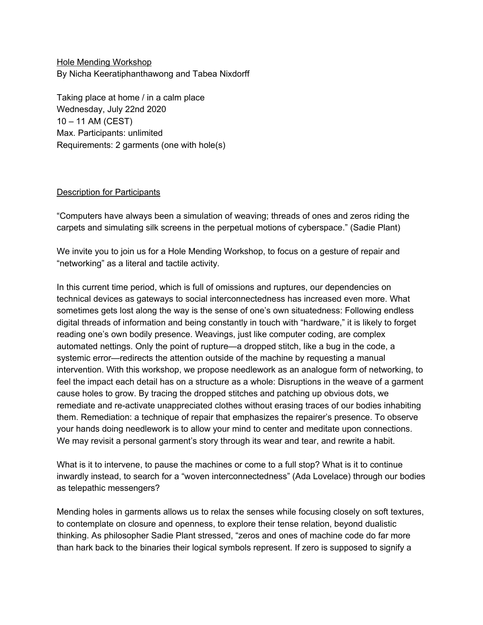Hole Mending Workshop By Nicha Keeratiphanthawong and Tabea Nixdorff

Taking place at home / in a calm place Wednesday, July 22nd 2020 10 – 11 AM (CEST) Max. Participants: unlimited Requirements: 2 garments (one with hole(s)

## Description for Participants

"Computers have always been a simulation of weaving; threads of ones and zeros riding the carpets and simulating silk screens in the perpetual motions of cyberspace." (Sadie Plant)

We invite you to join us for a Hole Mending Workshop, to focus on a gesture of repair and "networking" as a literal and tactile activity.

In this current time period, which is full of omissions and ruptures, our dependencies on technical devices as gateways to social interconnectedness has increased even more. What sometimes gets lost along the way is the sense of one's own situatedness: Following endless digital threads of information and being constantly in touch with "hardware," it is likely to forget reading one's own bodily presence. Weavings, just like computer coding, are complex automated nettings. Only the point of rupture—a dropped stitch, like a bug in the code, a systemic error—redirects the attention outside of the machine by requesting a manual intervention. With this workshop, we propose needlework as an analogue form of networking, to feel the impact each detail has on a structure as a whole: Disruptions in the weave of a garment cause holes to grow. By tracing the dropped stitches and patching up obvious dots, we remediate and re-activate unappreciated clothes without erasing traces of our bodies inhabiting them. Remediation: a technique of repair that emphasizes the repairer's presence. To observe your hands doing needlework is to allow your mind to center and meditate upon connections. We may revisit a personal garment's story through its wear and tear, and rewrite a habit.

What is it to intervene, to pause the machines or come to a full stop? What is it to continue inwardly instead, to search for a "woven interconnectedness" (Ada Lovelace) through our bodies as telepathic messengers?

Mending holes in garments allows us to relax the senses while focusing closely on soft textures, to contemplate on closure and openness, to explore their tense relation, beyond dualistic thinking. As philosopher Sadie Plant stressed, "zeros and ones of machine code do far more than hark back to the binaries their logical symbols represent. If zero is supposed to signify a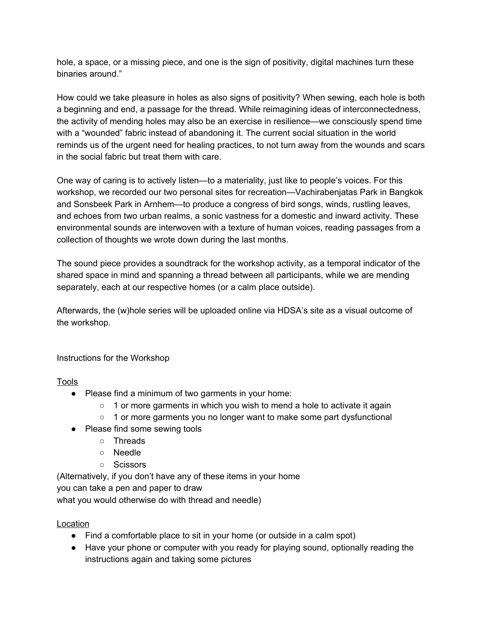hole, a space, or a missing piece, and one is the sign of positivity, digital machines turn these binaries around."

How could we take pleasure in holes as also signs of positivity? When sewing, each hole is both a beginning and end, a passage for the thread. While reimagining ideas of interconnectedness, the activity of mending holes may also be an exercise in resilience—we consciously spend time with a "wounded" fabric instead of abandoning it. The current social situation in the world reminds us of the urgent need for healing practices, to not turn away from the wounds and scars in the social fabric but treat them with care.

One way of caring is to actively listen—to a materiality, just like to people's voices. For this workshop, we recorded our two personal sites for recreation—Vachirabenjatas Park in Bangkok and Sonsbeek Park in Arnhem—to produce a congress of bird songs, winds, rustling leaves, and echoes from two urban realms, a sonic vastness for a domestic and inward activity. These environmental sounds are interwoven with a texture of human voices, reading passages from a collection of thoughts we wrote down during the last months.

The sound piece provides a soundtrack for the workshop activity, as a temporal indicator of the shared space in mind and spanning a thread between all participants, while we are mending separately, each at our respective homes (or a calm place outside).

Afterwards, the (w)hole series will be uploaded online via HDSA's site as a visual outcome of the workshop.

Instructions for the Workshop

Tools

- Please find a minimum of two garments in your home:
	- 1 or more garments in which you wish to mend a hole to activate it again
	- 1 or more garments you no longer want to make some part dysfunctional
- Please find some sewing tools
	- Threads
	- Needle
	- Scissors

(Alternatively, if you don't have any of these items in your home you can take a pen and paper to draw what you would otherwise do with thread and needle)

**Location** 

- Find a comfortable place to sit in your home (or outside in a calm spot)
- Have your phone or computer with you ready for playing sound, optionally reading the instructions again and taking some pictures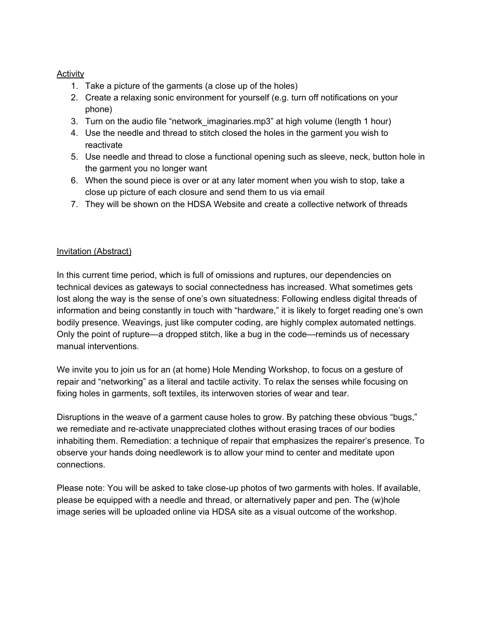## **Activity**

- 1. Take a picture of the garments (a close up of the holes)
- 2. Create a relaxing sonic environment for yourself (e.g. turn off notifications on your phone)
- 3. Turn on the audio file "network\_imaginaries.mp3" at high volume (length 1 hour)
- 4. Use the needle and thread to stitch closed the holes in the garment you wish to reactivate
- 5. Use needle and thread to close a functional opening such as sleeve, neck, button hole in the garment you no longer want
- 6. When the sound piece is over or at any later moment when you wish to stop, take a close up picture of each closure and send them to us via email
- 7. They will be shown on the HDSA Website and create a collective network of threads

## Invitation (Abstract)

In this current time period, which is full of omissions and ruptures, our dependencies on technical devices as gateways to social connectedness has increased. What sometimes gets lost along the way is the sense of one's own situatedness: Following endless digital threads of information and being constantly in touch with "hardware," it is likely to forget reading one's own bodily presence. Weavings, just like computer coding, are highly complex automated nettings. Only the point of rupture—a dropped stitch, like a bug in the code—reminds us of necessary manual interventions.

We invite you to join us for an (at home) Hole Mending Workshop, to focus on a gesture of repair and "networking" as a literal and tactile activity. To relax the senses while focusing on fixing holes in garments, soft textiles, its interwoven stories of wear and tear.

Disruptions in the weave of a garment cause holes to grow. By patching these obvious "bugs," we remediate and re-activate unappreciated clothes without erasing traces of our bodies inhabiting them. Remediation: a technique of repair that emphasizes the repairer's presence. To observe your hands doing needlework is to allow your mind to center and meditate upon connections.

Please note: You will be asked to take close-up photos of two garments with holes. If available, please be equipped with a needle and thread, or alternatively paper and pen. The (w)hole image series will be uploaded online via HDSA site as a visual outcome of the workshop.